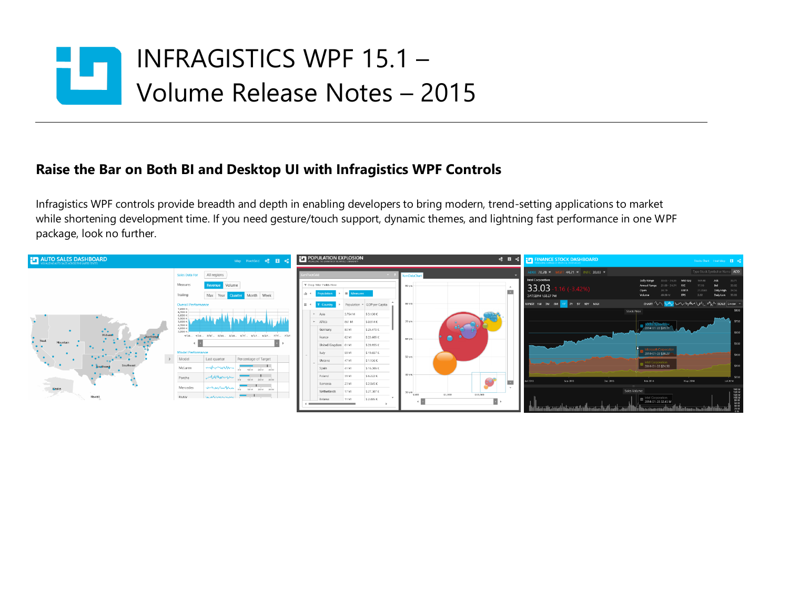# INFRAGISTICS WPF 15.1 – ш Volume Release Notes – 2015

### **Raise the Bar on Both BI and Desktop UI with Infragistics WPF Controls**

Infragistics WPF controls provide breadth and depth in enabling developers to bring modern, trend-setting applications to market while shortening development time. If you need gesture/touch support, dynamic themes, and lightning fast performance in one WPF package, look no further.

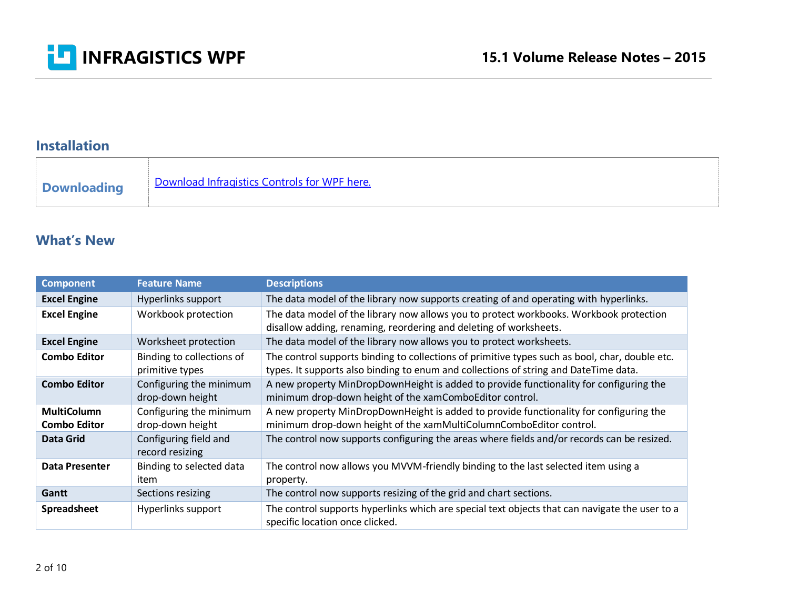

### **Installation**

#### **What's New**

| <b>Component</b>                          | <b>Feature Name</b>                          | <b>Descriptions</b>                                                                                                                                                                    |
|-------------------------------------------|----------------------------------------------|----------------------------------------------------------------------------------------------------------------------------------------------------------------------------------------|
| <b>Excel Engine</b>                       | Hyperlinks support                           | The data model of the library now supports creating of and operating with hyperlinks.                                                                                                  |
| <b>Excel Engine</b>                       | Workbook protection                          | The data model of the library now allows you to protect workbooks. Workbook protection<br>disallow adding, renaming, reordering and deleting of worksheets.                            |
| <b>Excel Engine</b>                       | Worksheet protection                         | The data model of the library now allows you to protect worksheets.                                                                                                                    |
| <b>Combo Editor</b>                       | Binding to collections of<br>primitive types | The control supports binding to collections of primitive types such as bool, char, double etc.<br>types. It supports also binding to enum and collections of string and DateTime data. |
| <b>Combo Editor</b>                       | Configuring the minimum<br>drop-down height  | A new property MinDropDownHeight is added to provide functionality for configuring the<br>minimum drop-down height of the xamComboEditor control.                                      |
| <b>MultiColumn</b><br><b>Combo Editor</b> | Configuring the minimum<br>drop-down height  | A new property MinDropDownHeight is added to provide functionality for configuring the<br>minimum drop-down height of the xamMultiColumnComboEditor control.                           |
| <b>Data Grid</b>                          | Configuring field and<br>record resizing     | The control now supports configuring the areas where fields and/or records can be resized.                                                                                             |
| <b>Data Presenter</b>                     | Binding to selected data<br>item             | The control now allows you MVVM-friendly binding to the last selected item using a<br>property.                                                                                        |
| Gantt                                     | Sections resizing                            | The control now supports resizing of the grid and chart sections.                                                                                                                      |
| <b>Spreadsheet</b>                        | Hyperlinks support                           | The control supports hyperlinks which are special text objects that can navigate the user to a<br>specific location once clicked.                                                      |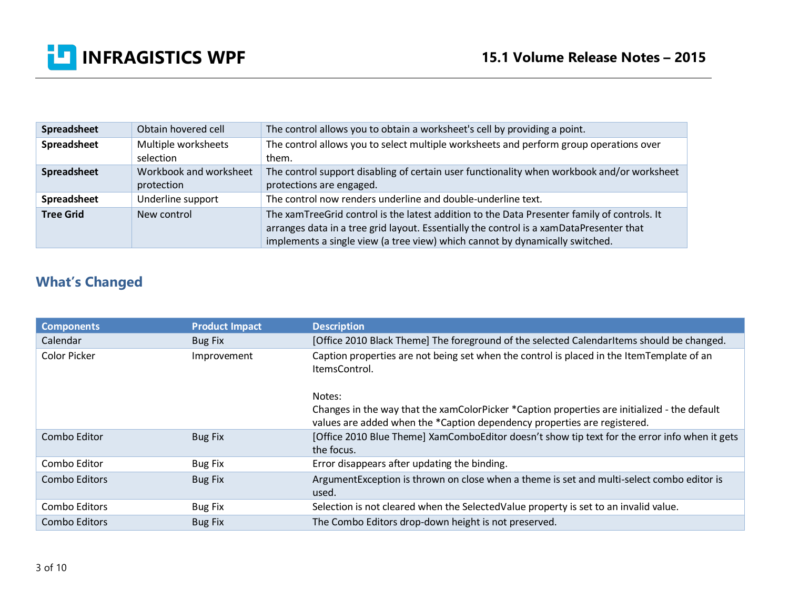

| Spreadsheet      | Obtain hovered cell                  | The control allows you to obtain a worksheet's cell by providing a point.                                                                                                                                                                                              |
|------------------|--------------------------------------|------------------------------------------------------------------------------------------------------------------------------------------------------------------------------------------------------------------------------------------------------------------------|
| Spreadsheet      | Multiple worksheets<br>selection     | The control allows you to select multiple worksheets and perform group operations over<br>them.                                                                                                                                                                        |
| Spreadsheet      | Workbook and worksheet<br>protection | The control support disabling of certain user functionality when workbook and/or worksheet<br>protections are engaged.                                                                                                                                                 |
| Spreadsheet      | Underline support                    | The control now renders underline and double-underline text.                                                                                                                                                                                                           |
| <b>Tree Grid</b> | New control                          | The xamTreeGrid control is the latest addition to the Data Presenter family of controls. It<br>arranges data in a tree grid layout. Essentially the control is a xamDataPresenter that<br>implements a single view (a tree view) which cannot by dynamically switched. |

## **What's Changed**

| <b>Components</b> | <b>Product Impact</b> | <b>Description</b>                                                                                                                                                       |
|-------------------|-----------------------|--------------------------------------------------------------------------------------------------------------------------------------------------------------------------|
| Calendar          | Bug Fix               | [Office 2010 Black Theme] The foreground of the selected CalendarItems should be changed.                                                                                |
| Color Picker      | Improvement           | Caption properties are not being set when the control is placed in the ItemTemplate of an<br>ItemsControl.                                                               |
|                   |                       | Notes:                                                                                                                                                                   |
|                   |                       | Changes in the way that the xamColorPicker *Caption properties are initialized - the default<br>values are added when the *Caption dependency properties are registered. |
| Combo Editor      | <b>Bug Fix</b>        | [Office 2010 Blue Theme] XamComboEditor doesn't show tip text for the error info when it gets<br>the focus.                                                              |
| Combo Editor      | <b>Bug Fix</b>        | Error disappears after updating the binding.                                                                                                                             |
| Combo Editors     | <b>Bug Fix</b>        | ArgumentException is thrown on close when a theme is set and multi-select combo editor is<br>used.                                                                       |
| Combo Editors     | <b>Bug Fix</b>        | Selection is not cleared when the SelectedValue property is set to an invalid value.                                                                                     |
| Combo Editors     | <b>Bug Fix</b>        | The Combo Editors drop-down height is not preserved.                                                                                                                     |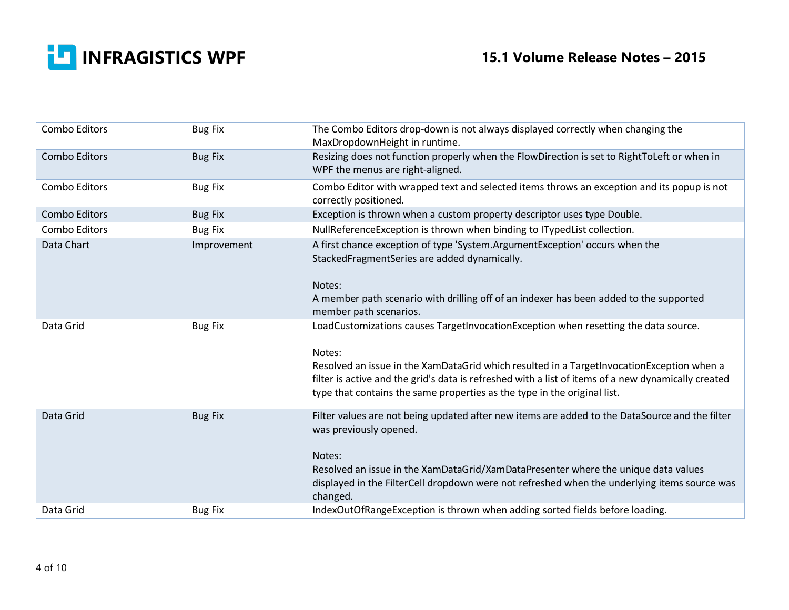

| Combo Editors        | <b>Bug Fix</b> | The Combo Editors drop-down is not always displayed correctly when changing the<br>MaxDropdownHeight in runtime.                                                                                                                                                                                                                                                              |
|----------------------|----------------|-------------------------------------------------------------------------------------------------------------------------------------------------------------------------------------------------------------------------------------------------------------------------------------------------------------------------------------------------------------------------------|
| <b>Combo Editors</b> | <b>Bug Fix</b> | Resizing does not function properly when the FlowDirection is set to RightToLeft or when in<br>WPF the menus are right-aligned.                                                                                                                                                                                                                                               |
| Combo Editors        | <b>Bug Fix</b> | Combo Editor with wrapped text and selected items throws an exception and its popup is not<br>correctly positioned.                                                                                                                                                                                                                                                           |
| Combo Editors        | <b>Bug Fix</b> | Exception is thrown when a custom property descriptor uses type Double.                                                                                                                                                                                                                                                                                                       |
| Combo Editors        | <b>Bug Fix</b> | NullReferenceException is thrown when binding to ITypedList collection.                                                                                                                                                                                                                                                                                                       |
| Data Chart           | Improvement    | A first chance exception of type 'System.ArgumentException' occurs when the<br>StackedFragmentSeries are added dynamically.<br>Notes:<br>A member path scenario with drilling off of an indexer has been added to the supported                                                                                                                                               |
|                      |                | member path scenarios.                                                                                                                                                                                                                                                                                                                                                        |
| Data Grid            | <b>Bug Fix</b> | LoadCustomizations causes TargetInvocationException when resetting the data source.<br>Notes:<br>Resolved an issue in the XamDataGrid which resulted in a TargetInvocationException when a<br>filter is active and the grid's data is refreshed with a list of items of a new dynamically created<br>type that contains the same properties as the type in the original list. |
| Data Grid            | <b>Bug Fix</b> | Filter values are not being updated after new items are added to the DataSource and the filter<br>was previously opened.<br>Notes:<br>Resolved an issue in the XamDataGrid/XamDataPresenter where the unique data values<br>displayed in the FilterCell dropdown were not refreshed when the underlying items source was<br>changed.                                          |
| Data Grid            | <b>Bug Fix</b> | IndexOutOfRangeException is thrown when adding sorted fields before loading.                                                                                                                                                                                                                                                                                                  |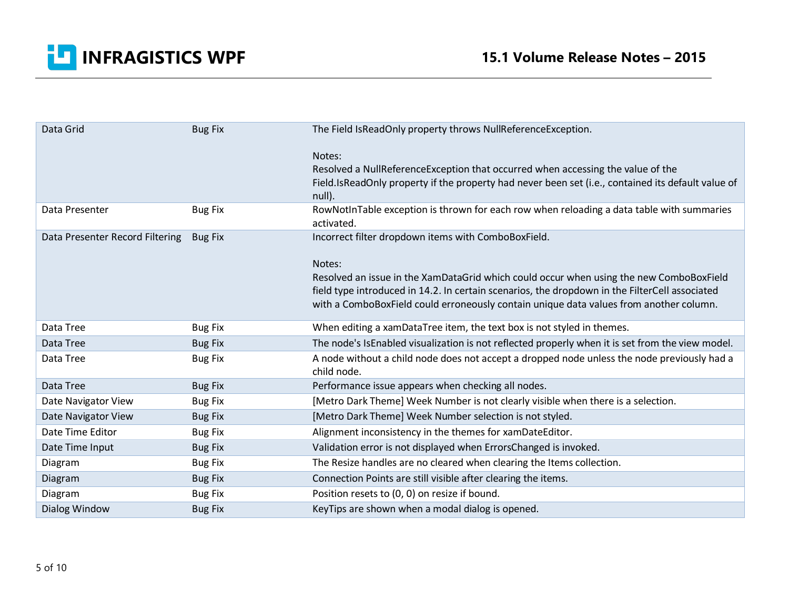

| Data Grid                       | <b>Bug Fix</b> | The Field IsReadOnly property throws NullReferenceException.                                                                                                                                                                                                                                  |
|---------------------------------|----------------|-----------------------------------------------------------------------------------------------------------------------------------------------------------------------------------------------------------------------------------------------------------------------------------------------|
|                                 |                | Notes:<br>Resolved a NullReferenceException that occurred when accessing the value of the<br>Field.IsReadOnly property if the property had never been set (i.e., contained its default value of<br>null).                                                                                     |
| Data Presenter                  | <b>Bug Fix</b> | RowNotInTable exception is thrown for each row when reloading a data table with summaries<br>activated.                                                                                                                                                                                       |
| Data Presenter Record Filtering | <b>Bug Fix</b> | Incorrect filter dropdown items with ComboBoxField.                                                                                                                                                                                                                                           |
|                                 |                | Notes:<br>Resolved an issue in the XamDataGrid which could occur when using the new ComboBoxField<br>field type introduced in 14.2. In certain scenarios, the dropdown in the FilterCell associated<br>with a ComboBoxField could erroneously contain unique data values from another column. |
| Data Tree                       | <b>Bug Fix</b> | When editing a xamDataTree item, the text box is not styled in themes.                                                                                                                                                                                                                        |
| Data Tree                       | <b>Bug Fix</b> | The node's IsEnabled visualization is not reflected properly when it is set from the view model.                                                                                                                                                                                              |
| Data Tree                       | <b>Bug Fix</b> | A node without a child node does not accept a dropped node unless the node previously had a<br>child node.                                                                                                                                                                                    |
| Data Tree                       | <b>Bug Fix</b> | Performance issue appears when checking all nodes.                                                                                                                                                                                                                                            |
| Date Navigator View             | <b>Bug Fix</b> | [Metro Dark Theme] Week Number is not clearly visible when there is a selection.                                                                                                                                                                                                              |
| Date Navigator View             | <b>Bug Fix</b> | [Metro Dark Theme] Week Number selection is not styled.                                                                                                                                                                                                                                       |
| Date Time Editor                | <b>Bug Fix</b> | Alignment inconsistency in the themes for xamDateEditor.                                                                                                                                                                                                                                      |
| Date Time Input                 | <b>Bug Fix</b> | Validation error is not displayed when ErrorsChanged is invoked.                                                                                                                                                                                                                              |
| Diagram                         | <b>Bug Fix</b> | The Resize handles are no cleared when clearing the Items collection.                                                                                                                                                                                                                         |
| Diagram                         | <b>Bug Fix</b> | Connection Points are still visible after clearing the items.                                                                                                                                                                                                                                 |
| Diagram                         | <b>Bug Fix</b> | Position resets to (0, 0) on resize if bound.                                                                                                                                                                                                                                                 |
| Dialog Window                   | <b>Bug Fix</b> | KeyTips are shown when a modal dialog is opened.                                                                                                                                                                                                                                              |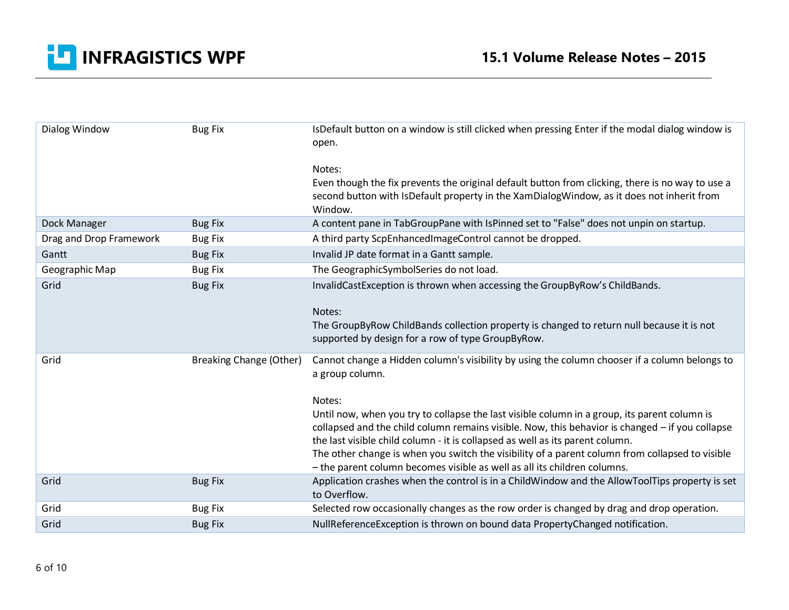

| Dialog Window           | <b>Bug Fix</b>                 | IsDefault button on a window is still clicked when pressing Enter if the modal dialog window is<br>open.                                                                                                                                                                                                                                                                                                                                                        |
|-------------------------|--------------------------------|-----------------------------------------------------------------------------------------------------------------------------------------------------------------------------------------------------------------------------------------------------------------------------------------------------------------------------------------------------------------------------------------------------------------------------------------------------------------|
|                         |                                | Notes:                                                                                                                                                                                                                                                                                                                                                                                                                                                          |
|                         |                                | Even though the fix prevents the original default button from clicking, there is no way to use a<br>second button with IsDefault property in the XamDialogWindow, as it does not inherit from<br>Window.                                                                                                                                                                                                                                                        |
| Dock Manager            | <b>Bug Fix</b>                 | A content pane in TabGroupPane with IsPinned set to "False" does not unpin on startup.                                                                                                                                                                                                                                                                                                                                                                          |
| Drag and Drop Framework | <b>Bug Fix</b>                 | A third party ScpEnhancedImageControl cannot be dropped.                                                                                                                                                                                                                                                                                                                                                                                                        |
| Gantt                   | <b>Bug Fix</b>                 | Invalid JP date format in a Gantt sample.                                                                                                                                                                                                                                                                                                                                                                                                                       |
| Geographic Map          | <b>Bug Fix</b>                 | The GeographicSymbolSeries do not load.                                                                                                                                                                                                                                                                                                                                                                                                                         |
| Grid                    | <b>Bug Fix</b>                 | InvalidCastException is thrown when accessing the GroupByRow's ChildBands.<br>Notes:<br>The GroupByRow ChildBands collection property is changed to return null because it is not<br>supported by design for a row of type GroupByRow.                                                                                                                                                                                                                          |
| Grid                    | <b>Breaking Change (Other)</b> | Cannot change a Hidden column's visibility by using the column chooser if a column belongs to<br>a group column.<br>Notes:                                                                                                                                                                                                                                                                                                                                      |
|                         |                                | Until now, when you try to collapse the last visible column in a group, its parent column is<br>collapsed and the child column remains visible. Now, this behavior is changed - if you collapse<br>the last visible child column - it is collapsed as well as its parent column.<br>The other change is when you switch the visibility of a parent column from collapsed to visible<br>- the parent column becomes visible as well as all its children columns. |
| Grid                    | <b>Bug Fix</b>                 | Application crashes when the control is in a ChildWindow and the AllowToolTips property is set<br>to Overflow.                                                                                                                                                                                                                                                                                                                                                  |
| Grid                    | <b>Bug Fix</b>                 | Selected row occasionally changes as the row order is changed by drag and drop operation.                                                                                                                                                                                                                                                                                                                                                                       |
| Grid                    | <b>Bug Fix</b>                 | NullReferenceException is thrown on bound data PropertyChanged notification.                                                                                                                                                                                                                                                                                                                                                                                    |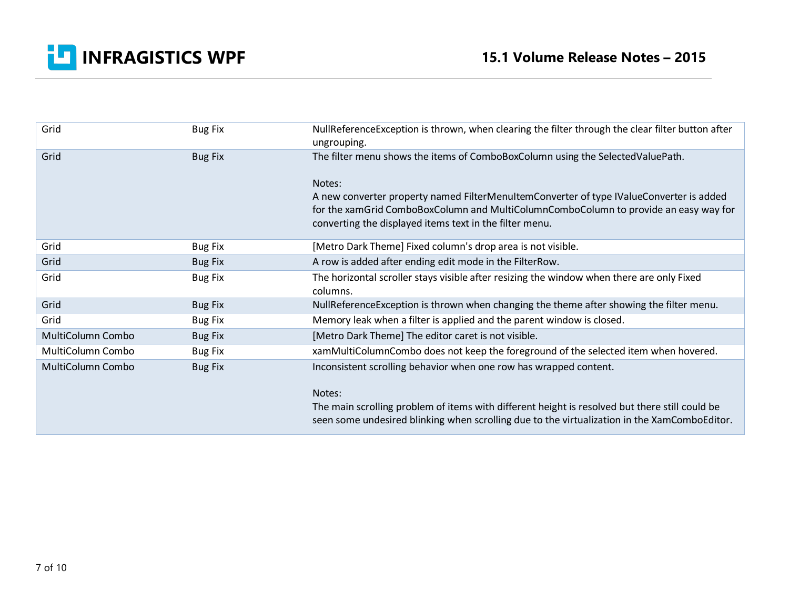

| Grid              | <b>Bug Fix</b> | NullReferenceException is thrown, when clearing the filter through the clear filter button after |
|-------------------|----------------|--------------------------------------------------------------------------------------------------|
|                   |                | ungrouping.                                                                                      |
| Grid              | <b>Bug Fix</b> | The filter menu shows the items of ComboBoxColumn using the SelectedValuePath.                   |
|                   |                | Notes:                                                                                           |
|                   |                | A new converter property named FilterMenuItemConverter of type IValueConverter is added          |
|                   |                | for the xamGrid ComboBoxColumn and MultiColumnComboColumn to provide an easy way for             |
|                   |                | converting the displayed items text in the filter menu.                                          |
| Grid              | <b>Bug Fix</b> | [Metro Dark Theme] Fixed column's drop area is not visible.                                      |
| Grid              | <b>Bug Fix</b> | A row is added after ending edit mode in the FilterRow.                                          |
| Grid              | <b>Bug Fix</b> | The horizontal scroller stays visible after resizing the window when there are only Fixed        |
|                   |                | columns.                                                                                         |
| Grid              | <b>Bug Fix</b> | NullReferenceException is thrown when changing the theme after showing the filter menu.          |
| Grid              | <b>Bug Fix</b> | Memory leak when a filter is applied and the parent window is closed.                            |
| MultiColumn Combo | <b>Bug Fix</b> | [Metro Dark Theme] The editor caret is not visible.                                              |
| MultiColumn Combo | <b>Bug Fix</b> | xamMultiColumnCombo does not keep the foreground of the selected item when hovered.              |
| MultiColumn Combo | <b>Bug Fix</b> | Inconsistent scrolling behavior when one row has wrapped content.                                |
|                   |                | Notes:                                                                                           |
|                   |                | The main scrolling problem of items with different height is resolved but there still could be   |
|                   |                | seen some undesired blinking when scrolling due to the virtualization in the XamComboEditor.     |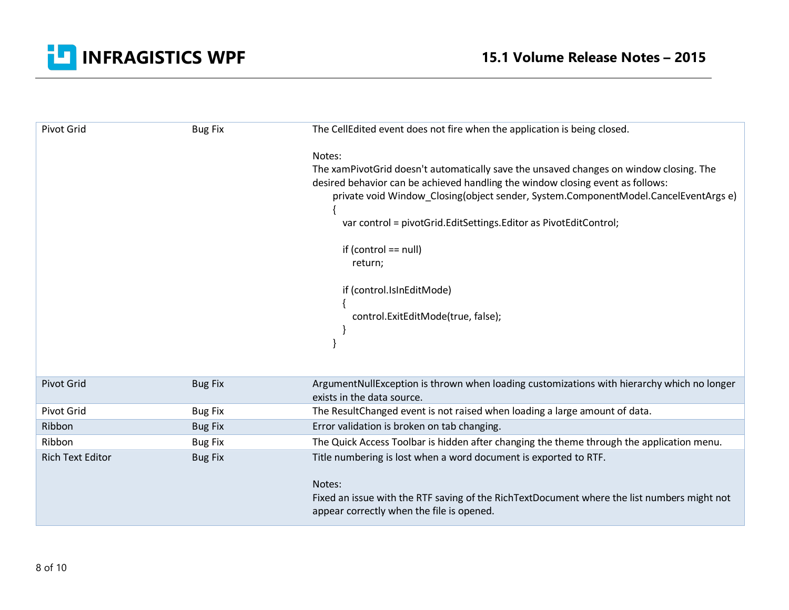

| Pivot Grid              | <b>Bug Fix</b> | The CellEdited event does not fire when the application is being closed.                                                                                                                                                                                                                                                                                                                                                                              |
|-------------------------|----------------|-------------------------------------------------------------------------------------------------------------------------------------------------------------------------------------------------------------------------------------------------------------------------------------------------------------------------------------------------------------------------------------------------------------------------------------------------------|
|                         |                | Notes:<br>The xamPivotGrid doesn't automatically save the unsaved changes on window closing. The<br>desired behavior can be achieved handling the window closing event as follows:<br>private void Window_Closing(object sender, System.ComponentModel.CancelEventArgs e)<br>var control = pivotGrid.EditSettings.Editor as PivotEditControl;<br>if (control $==$ null)<br>return;<br>if (control.IsInEditMode)<br>control.ExitEditMode(true, false); |
| <b>Pivot Grid</b>       | <b>Bug Fix</b> | ArgumentNullException is thrown when loading customizations with hierarchy which no longer<br>exists in the data source.                                                                                                                                                                                                                                                                                                                              |
| Pivot Grid              | <b>Bug Fix</b> | The ResultChanged event is not raised when loading a large amount of data.                                                                                                                                                                                                                                                                                                                                                                            |
| Ribbon                  | <b>Bug Fix</b> | Error validation is broken on tab changing.                                                                                                                                                                                                                                                                                                                                                                                                           |
| Ribbon                  | <b>Bug Fix</b> | The Quick Access Toolbar is hidden after changing the theme through the application menu.                                                                                                                                                                                                                                                                                                                                                             |
| <b>Rich Text Editor</b> | <b>Bug Fix</b> | Title numbering is lost when a word document is exported to RTF.                                                                                                                                                                                                                                                                                                                                                                                      |
|                         |                | Notes:<br>Fixed an issue with the RTF saving of the RichTextDocument where the list numbers might not<br>appear correctly when the file is opened.                                                                                                                                                                                                                                                                                                    |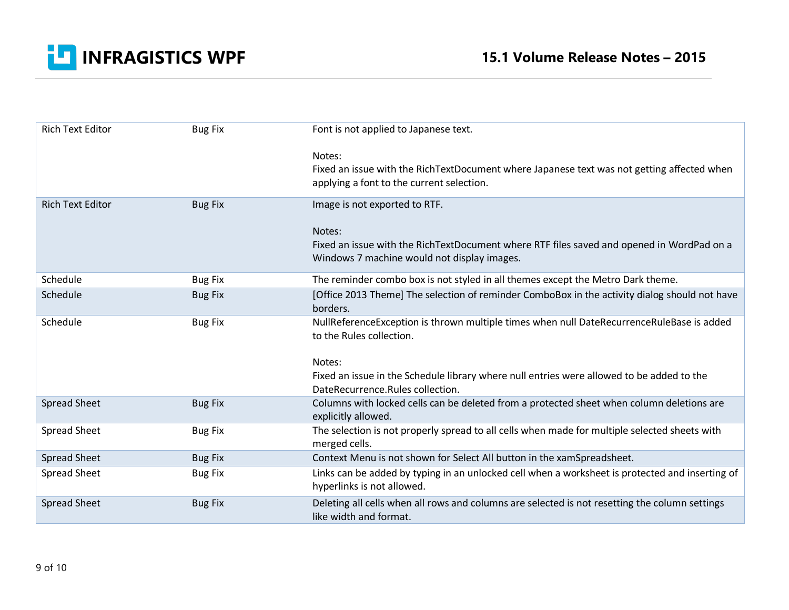

| <b>Rich Text Editor</b> | <b>Bug Fix</b> | Font is not applied to Japanese text.                                                                                         |
|-------------------------|----------------|-------------------------------------------------------------------------------------------------------------------------------|
|                         |                | Notes:                                                                                                                        |
|                         |                | Fixed an issue with the RichTextDocument where Japanese text was not getting affected when                                    |
|                         |                | applying a font to the current selection.                                                                                     |
| <b>Rich Text Editor</b> | <b>Bug Fix</b> | Image is not exported to RTF.                                                                                                 |
|                         |                | Notes:                                                                                                                        |
|                         |                | Fixed an issue with the RichTextDocument where RTF files saved and opened in WordPad on a                                     |
|                         |                | Windows 7 machine would not display images.                                                                                   |
| Schedule                | <b>Bug Fix</b> | The reminder combo box is not styled in all themes except the Metro Dark theme.                                               |
| Schedule                | <b>Bug Fix</b> | [Office 2013 Theme] The selection of reminder ComboBox in the activity dialog should not have<br>borders.                     |
| Schedule                | <b>Bug Fix</b> | NullReferenceException is thrown multiple times when null DateRecurrenceRuleBase is added<br>to the Rules collection.         |
|                         |                |                                                                                                                               |
|                         |                | Notes:                                                                                                                        |
|                         |                | Fixed an issue in the Schedule library where null entries were allowed to be added to the<br>DateRecurrence.Rules collection. |
| <b>Spread Sheet</b>     | <b>Bug Fix</b> | Columns with locked cells can be deleted from a protected sheet when column deletions are<br>explicitly allowed.              |
| <b>Spread Sheet</b>     | <b>Bug Fix</b> | The selection is not properly spread to all cells when made for multiple selected sheets with                                 |
| <b>Spread Sheet</b>     | <b>Bug Fix</b> | merged cells.<br>Context Menu is not shown for Select All button in the xamSpreadsheet.                                       |
| <b>Spread Sheet</b>     | <b>Bug Fix</b> | Links can be added by typing in an unlocked cell when a worksheet is protected and inserting of                               |
|                         |                | hyperlinks is not allowed.                                                                                                    |
| <b>Spread Sheet</b>     | <b>Bug Fix</b> | Deleting all cells when all rows and columns are selected is not resetting the column settings<br>like width and format.      |